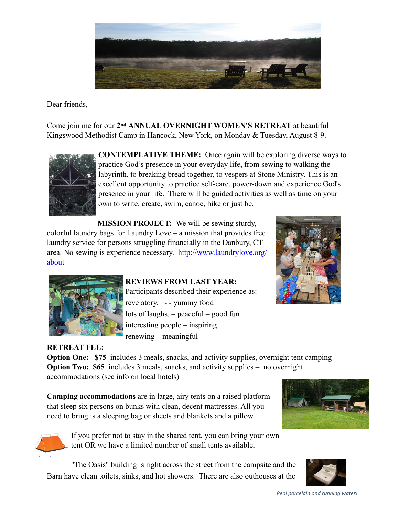

Dear friends,

Come join me for our **2nd ANNUAL OVERNIGHT WOMEN'S RETREAT** at beautiful Kingswood Methodist Camp in Hancock, New York, on Monday & Tuesday, August 8-9.



**CONTEMPLATIVE THEME:** Once again will be exploring diverse ways to practice God's presence in your everyday life, from sewing to walking the labyrinth, to breaking bread together, to vespers at Stone Ministry. This is an excellent opportunity to practice self-care, power-down and experience God's presence in your life. There will be guided activities as well as time on your own to write, create, swim, canoe, hike or just be.

**MISSION PROJECT:** We will be sewing sturdy, colorful laundry bags for Laundry Love – a mission that provides free laundry service for persons struggling financially in the Danbury, CT area. No sewing is experience necessary. [http://www.laundrylove.org/](http://www.laundrylove.org/about) [about](http://www.laundrylove.org/about)



## **REVIEWS FROM LAST YEAR:**

Participants described their experience as: revelatory. - - yummy food lots of laughs. – peaceful – good fun interesting people – inspiring renewing – meaningful



**RETREAT FEE: Option One: \$75** includes 3 meals, snacks, and activity supplies, overnight tent camping **Option Two: \$65** includes 3 meals, snacks, and activity supplies – no overnight accommodations (see info on local hotels)

**Camping accommodations** are in large, airy tents on a raised platform that sleep six persons on bunks with clean, decent mattresses. All you need to bring is a sleeping bag or sheets and blankets and a pillow.



If you prefer not to stay in the shared tent, you can bring your own tent OR we have a limited number of small tents available**.**

 "The Oasis" building is right across the street from the campsite and the Barn have clean toilets, sinks, and hot showers. There are also outhouses at the